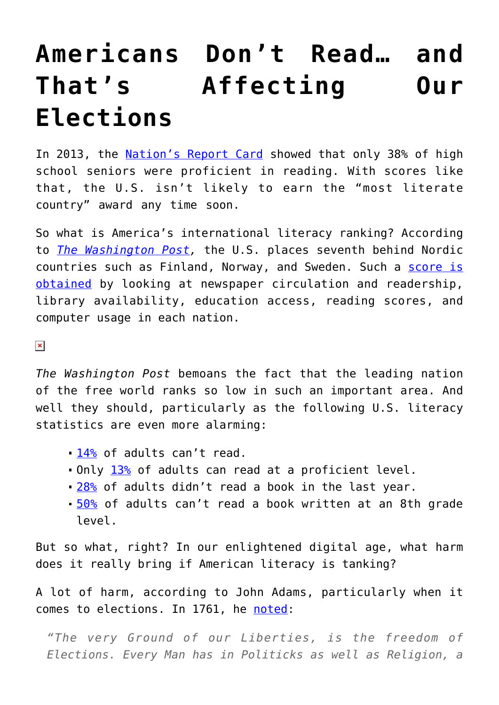## **[Americans Don't Read… and](https://intellectualtakeout.org/2016/03/americans-dont-read-and-thats-affecting-our-elections/) [That's Affecting Our](https://intellectualtakeout.org/2016/03/americans-dont-read-and-thats-affecting-our-elections/) [Elections](https://intellectualtakeout.org/2016/03/americans-dont-read-and-thats-affecting-our-elections/)**

In 2013, the [Nation's Report Card](http://www.nationsreportcard.gov/dashboards/report_card.aspx) showed that only 38% of high school seniors were proficient in reading. With scores like that, the U.S. isn't likely to earn the "most literate country" award any time soon.

So what is America's international literacy ranking? According to *[The Washington Post](https://www.washingtonpost.com/news/answer-sheet/wp/2016/03/08/most-literate-nation-in-the-world-not-the-u-s-new-ranking-says/),* the U.S. places seventh behind Nordic countries such as Finland, Norway, and Sweden. Such a [score is](http://www.ccsu.edu/wmln/rank.html) [obtained](http://www.ccsu.edu/wmln/rank.html) by looking at newspaper circulation and readership, library availability, education access, reading scores, and computer usage in each nation.

 $\pmb{\times}$ 

*The Washington Post* bemoans the fact that the leading nation of the free world ranks so low in such an important area. And well they should, particularly as the following U.S. literacy statistics are even more alarming:

- [14%](https://www.intellectualtakeout.org/blog/illiteracy-costing-america-billions) of adults can't read.
- Only [13%](http://www.statisticbrain.com/number-of-american-adults-who-cant-read/) of adults can read at a proficient level.
- **28%** of adults didn't read a book in the last year.
- **[50%](http://www.statisticbrain.com/reading-statistics/) of adults can't read a book written at an 8th grade** level.

But so what, right? In our enlightened digital age, what harm does it really bring if American literacy is tanking?

A lot of harm, according to John Adams, particularly when it comes to elections. In 1761, he [noted](https://www.masshist.org/publications/apde2/view?id=ADMS-01-01-02-0006-0008-0001):

*"The very Ground of our Liberties, is the freedom of Elections. Every Man has in Politicks as well as Religion, a*